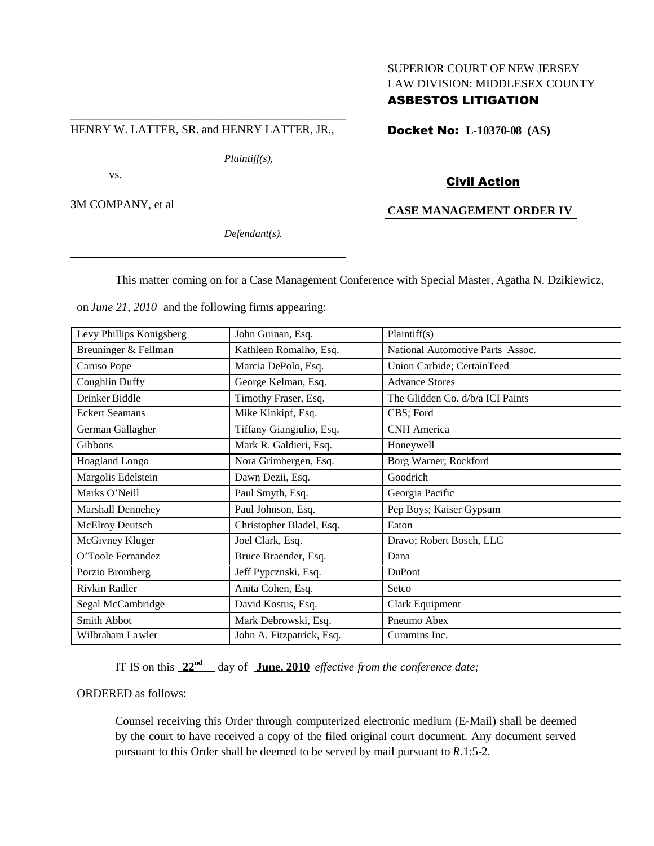# SUPERIOR COURT OF NEW JERSEY LAW DIVISION: MIDDLESEX COUNTY

# ASBESTOS LITIGATION

\_\_\_\_\_\_\_\_\_\_\_\_\_\_\_\_\_\_\_\_\_\_\_\_\_\_\_\_\_\_\_\_\_\_\_\_\_\_\_\_\_\_\_\_\_\_\_ HENRY W. LATTER, SR. and HENRY LATTER, JR.,

*Plaintiff(s),*

vs.

3M COMPANY, et al

*Defendant(s).*

Docket No: **L-10370-08 (AS)**

# Civil Action

# **CASE MANAGEMENT ORDER IV**

This matter coming on for a Case Management Conference with Special Master, Agatha N. Dzikiewicz,

on *June 21, 2010* and the following firms appearing:

| Levy Phillips Konigsberg | John Guinan, Esq.         | Plaintiff(s)                     |
|--------------------------|---------------------------|----------------------------------|
| Breuninger & Fellman     | Kathleen Romalho, Esq.    | National Automotive Parts Assoc. |
| Caruso Pope              | Marcia DePolo, Esq.       | Union Carbide; CertainTeed       |
| Coughlin Duffy           | George Kelman, Esq.       | <b>Advance Stores</b>            |
| Drinker Biddle           | Timothy Fraser, Esq.      | The Glidden Co. d/b/a ICI Paints |
| <b>Eckert Seamans</b>    | Mike Kinkipf, Esq.        | CBS; Ford                        |
| German Gallagher         | Tiffany Giangiulio, Esq.  | <b>CNH</b> America               |
| Gibbons                  | Mark R. Galdieri, Esq.    | Honeywell                        |
| Hoagland Longo           | Nora Grimbergen, Esq.     | Borg Warner; Rockford            |
| Margolis Edelstein       | Dawn Dezii, Esq.          | Goodrich                         |
| Marks O'Neill            | Paul Smyth, Esq.          | Georgia Pacific                  |
| Marshall Dennehey        | Paul Johnson, Esq.        | Pep Boys; Kaiser Gypsum          |
| McElroy Deutsch          | Christopher Bladel, Esq.  | Eaton                            |
| McGivney Kluger          | Joel Clark, Esq.          | Dravo; Robert Bosch, LLC         |
| O'Toole Fernandez        | Bruce Braender, Esq.      | Dana                             |
| Porzio Bromberg          | Jeff Pypcznski, Esq.      | DuPont                           |
| Rivkin Radler            | Anita Cohen, Esq.         | Setco                            |
| Segal McCambridge        | David Kostus, Esq.        | Clark Equipment                  |
| Smith Abbot              | Mark Debrowski, Esq.      | Pneumo Abex                      |
| Wilbraham Lawler         | John A. Fitzpatrick, Esq. | Cummins Inc.                     |

IT IS on this **22nd** day of **June, 2010** *effective from the conference date;*

ORDERED as follows:

Counsel receiving this Order through computerized electronic medium (E-Mail) shall be deemed by the court to have received a copy of the filed original court document. Any document served pursuant to this Order shall be deemed to be served by mail pursuant to *R*.1:5-2.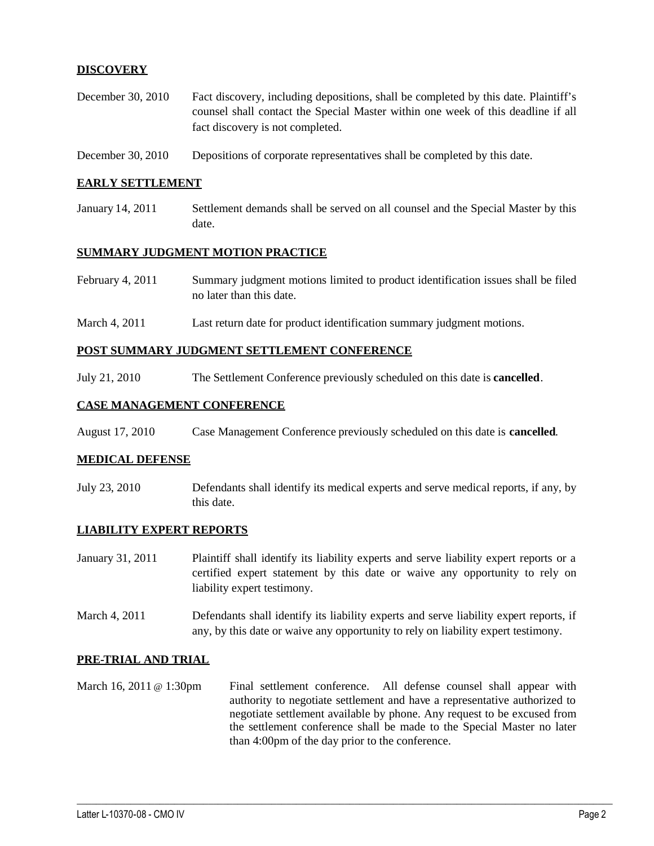## **DISCOVERY**

- December 30, 2010 Fact discovery, including depositions, shall be completed by this date. Plaintiff's counsel shall contact the Special Master within one week of this deadline if all fact discovery is not completed.
- December 30, 2010 Depositions of corporate representatives shall be completed by this date.

#### **EARLY SETTLEMENT**

January 14, 2011 Settlement demands shall be served on all counsel and the Special Master by this date.

### **SUMMARY JUDGMENT MOTION PRACTICE**

| February 4, 2011 | Summary judgment motions limited to product identification issues shall be filed |
|------------------|----------------------------------------------------------------------------------|
|                  | no later than this date.                                                         |

March 4, 2011 Last return date for product identification summary judgment motions.

#### **POST SUMMARY JUDGMENT SETTLEMENT CONFERENCE**

July 21, 2010 The Settlement Conference previously scheduled on this date is **cancelled**.

## **CASE MANAGEMENT CONFERENCE**

August 17, 2010 Case Management Conference previously scheduled on this date is **cancelled**.

#### **MEDICAL DEFENSE**

July 23, 2010 Defendants shall identify its medical experts and serve medical reports, if any, by this date.

#### **LIABILITY EXPERT REPORTS**

- January 31, 2011 Plaintiff shall identify its liability experts and serve liability expert reports or a certified expert statement by this date or waive any opportunity to rely on liability expert testimony.
- March 4, 2011 Defendants shall identify its liability experts and serve liability expert reports, if any, by this date or waive any opportunity to rely on liability expert testimony.

#### **PRE-TRIAL AND TRIAL**

March 16, 2011 @ 1:30pm Final settlement conference. All defense counsel shall appear with authority to negotiate settlement and have a representative authorized to negotiate settlement available by phone. Any request to be excused from the settlement conference shall be made to the Special Master no later than 4:00pm of the day prior to the conference.

 $\_$  ,  $\_$  ,  $\_$  ,  $\_$  ,  $\_$  ,  $\_$  ,  $\_$  ,  $\_$  ,  $\_$  ,  $\_$  ,  $\_$  ,  $\_$  ,  $\_$  ,  $\_$  ,  $\_$  ,  $\_$  ,  $\_$  ,  $\_$  ,  $\_$  ,  $\_$  ,  $\_$  ,  $\_$  ,  $\_$  ,  $\_$  ,  $\_$  ,  $\_$  ,  $\_$  ,  $\_$  ,  $\_$  ,  $\_$  ,  $\_$  ,  $\_$  ,  $\_$  ,  $\_$  ,  $\_$  ,  $\_$  ,  $\_$  ,